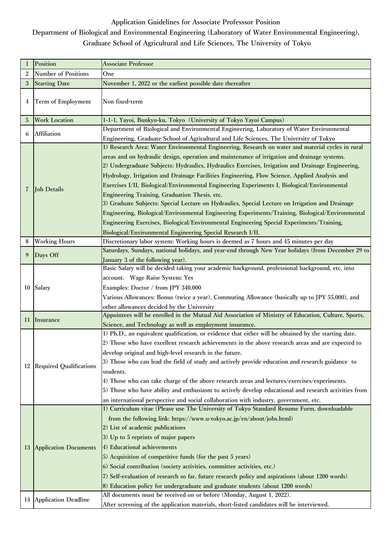## **Application Guidelines for Associate Professsor Position**

## **Department of Biological and Environmental Engineering (Laboratory of Water Environmental Engineering), Graduate School of Agricultural and Life Sciences, The University of Tokyo**

|                | Position                     | <b>Associate Professor</b>                                                                                                                                                                                                                                                                                                                                                                                                                                                                                                                                                                                                                                                                                                                                                                                                                                                                                                  |
|----------------|------------------------------|-----------------------------------------------------------------------------------------------------------------------------------------------------------------------------------------------------------------------------------------------------------------------------------------------------------------------------------------------------------------------------------------------------------------------------------------------------------------------------------------------------------------------------------------------------------------------------------------------------------------------------------------------------------------------------------------------------------------------------------------------------------------------------------------------------------------------------------------------------------------------------------------------------------------------------|
| $\overline{2}$ | <b>Number of Positions</b>   | One                                                                                                                                                                                                                                                                                                                                                                                                                                                                                                                                                                                                                                                                                                                                                                                                                                                                                                                         |
| 3              | <b>Starting Date</b>         | November 1, 2022 or the earliest possible date thereafter                                                                                                                                                                                                                                                                                                                                                                                                                                                                                                                                                                                                                                                                                                                                                                                                                                                                   |
| 4              | Term of Employment           | Non fixed-term                                                                                                                                                                                                                                                                                                                                                                                                                                                                                                                                                                                                                                                                                                                                                                                                                                                                                                              |
| 5              | <b>Work Location</b>         | 1-1-1, Yayoi, Bunkyo-ku, Tokyo (University of Tokyo Yayoi Campus)                                                                                                                                                                                                                                                                                                                                                                                                                                                                                                                                                                                                                                                                                                                                                                                                                                                           |
|                | Affiliation                  | Department of Biological and Environmental Engineering, Laboratory of Water Environmental                                                                                                                                                                                                                                                                                                                                                                                                                                                                                                                                                                                                                                                                                                                                                                                                                                   |
| 6              |                              | Engineering, Graduate School of Agricultural and Life Sciences, The University of Tokyo                                                                                                                                                                                                                                                                                                                                                                                                                                                                                                                                                                                                                                                                                                                                                                                                                                     |
| 7              | <b>Job Details</b>           | 1) Research Area: Water Environmental Engineering, Research on water and material cycles in rural<br>areas and on hydraulic design, operation and maintenance of irrigation and drainage systems.<br>2) Undergraduate Subjects: Hydraulics, Hydraulics Exercises, Irrigation and Drainage Engineering,<br>Hydrology, Irrigation and Drainage Facilities Engineering, Flow Science, Applied Analysis and<br>Exercises I/II, Biological/Environmental Engineering Experiments I, Biological/Environmental<br>Engineering Training, Graduation Thesis, etc.<br>3) Graduate Subjects: Special Lecture on Hydraulics, Special Lecture on Irrigation and Drainage<br>Engineering, Biological/Environmental Engineering Experiments/Training, Biological/Environmental<br>Engineering Exercises, Biological/Environmental Engineering Special Experiments/Training,<br>Biological/Environmental Engineering Special Research I/II. |
| 8              | <b>Working Hours</b>         | Discretionary labor system: Working hours is deemed as 7 hours and 45 minutes per day                                                                                                                                                                                                                                                                                                                                                                                                                                                                                                                                                                                                                                                                                                                                                                                                                                       |
| 9              | Days Off                     | Saturdays, Sundays, national holidays, and year-end through New Year holidays (from December 29 to<br>January 3 of the following year).                                                                                                                                                                                                                                                                                                                                                                                                                                                                                                                                                                                                                                                                                                                                                                                     |
|                | 10 Salary                    | Basic Salary will be decided taking your academic background, professional background, etc. into<br>account. Wage Raise System: Yes<br>Examples: Doctor / from JPY 340,000<br>Various Allowances: Bonus (twice a year), Commuting Allowance (basically up to JPY 55,000), and<br>other allowances decided by the University                                                                                                                                                                                                                                                                                                                                                                                                                                                                                                                                                                                                 |
| 11             | Insurance                    | Appointees will be enrolled in the Mutual Aid Association of Ministry of Education, Culture, Sports,<br>Science, and Technology as well as employment insurance.                                                                                                                                                                                                                                                                                                                                                                                                                                                                                                                                                                                                                                                                                                                                                            |
|                | 12 Required Qualifications   | 1) Ph.D., an equivalent qualification, or evidence that either will be obtained by the starting date.<br>2) Those who have excellent research achievements in the above research areas and are expected to<br>develop original and high-level research in the future.<br>3) Those who can lead the field of study and actively provide education and research guidance to<br>students.<br>4) Those who can take charge of the above research areas and lectures/exercises/experiments.<br>5) Those who have ability and enthusiasm to actively develop educational and research activities from<br>an international perspective and social collaboration with industry, government, etc.                                                                                                                                                                                                                                    |
| 13             | <b>Application Documents</b> | 1) Curriculum vitae (Please use The University of Tokyo Standard Resume Form, downloadable<br>from the following link: https://www.u-tokyo.ac.jp/en/about/jobs.html)<br>2) List of academic publications<br>3) Up to 5 reprints of major papers<br>4) Educational achievements<br>5) Acquisition of competitive funds (for the past 5 years)<br>6) Social contribution (society activities, committee activities, etc.)<br>7) Self-evaluation of research so far, future research policy and aspirations (about 1200 words)<br>8) Education policy for undergraduate and graduate students (about 1200 words)                                                                                                                                                                                                                                                                                                               |
|                | 14 Application Deadline      | All documents must be received on or before (Monday, August 1, 2022).<br>After screening of the application materials, short-listed candidates will be interviewed.                                                                                                                                                                                                                                                                                                                                                                                                                                                                                                                                                                                                                                                                                                                                                         |